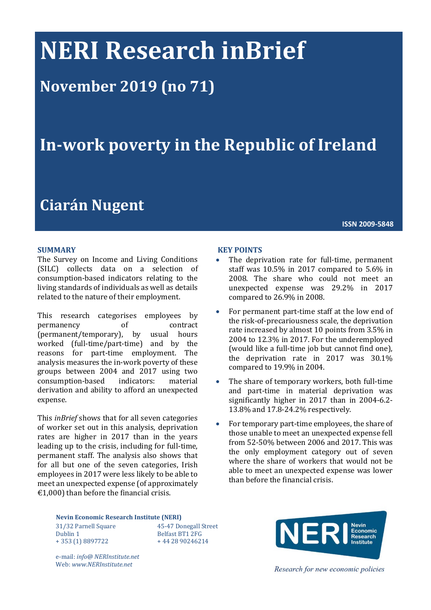# **NERI Research inBrief**

## **November 2019 (no 71)**

# **In-work poverty in the Republic of Ireland**

### **Ciarán Nugent**

**ISSN 2009-5848**

#### **SUMMARY**

The Survey on Income and Living Conditions (SILC) collects data on a selection of consumption-based indicators relating to the living standards of individuals as well as details related to the nature of their employment.

This research categorises employees by<br>
permanency of contract permanency of contract<br>(permanent/temporary), by usual hours (permanent/temporary), worked (full-time/part-time) and by the reasons for part-time employment. The analysis measures the in-work poverty of these groups between 2004 and 2017 using two consumption-based derivation and ability to afford an unexpected expense.

This *inBrief* shows that for all seven categories of worker set out in this analysis, deprivation rates are higher in 2017 than in the years leading up to the crisis, including for full-time, permanent staff. The analysis also shows that for all but one of the seven categories, Irish employees in 2017 were less likely to be able to meet an unexpected expense (of approximately  $£1,000$ ) than before the financial crisis.

#### **KEY POINTS**

- The deprivation rate for full-time, permanent staff was 10.5% in 2017 compared to 5.6% in 2008. The share who could not meet an unexpected expense was 29.2% in 2017 compared to 26.9% in 2008.
- For permanent part-time staff at the low end of the risk-of-precariousness scale, the deprivation rate increased by almost 10 points from 3.5% in 2004 to 12.3% in 2017. For the underemployed (would like a full-time job but cannot find one), the deprivation rate in 2017 was 30.1% compared to 19.9% in 2004.
- The share of temporary workers, both full-time and part-time in material deprivation was significantly higher in 2017 than in 2004-6.2- 13.8% and 17.8-24.2% respectively.
- For temporary part-time employees, the share of those unable to meet an unexpected expense fell from 52-50% between 2006 and 2017. This was the only employment category out of seven where the share of workers that would not be able to meet an unexpected expense was lower than before the financial crisis.

**Nevin Economic Research Institute (NERI)**

45-47 Donegall Street Belfast BT1 2FG + 44 28 90246214



e-mail: *info@ NERInstitute.net* Web: *www.NERInstitute.net*

31/32 Parnell Square

+ 353 (1) 8897722

Dublin 1

Research for new economic policies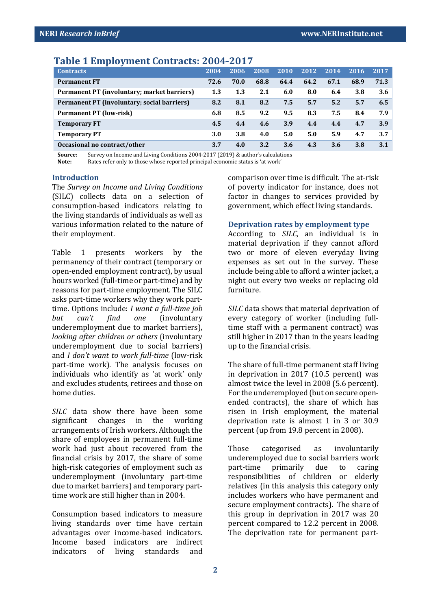#### **Table 1 Employment Contracts: 2004-2017**

| <b>Contracts</b>                            | 2004 | 2006 | 2008 | 2010 | 2012 | 2014 | 2016 | 2017 |
|---------------------------------------------|------|------|------|------|------|------|------|------|
| <b>Permanent FT</b>                         | 72.6 | 70.0 | 68.8 | 64.4 | 64.2 | 67.1 | 68.9 | 71.3 |
| Permanent PT (involuntary; market barriers) | 1.3  | 1.3  | 2.1  | 6.0  | 8.0  | 6.4  | 3.8  | 3.6  |
| Permanent PT (involuntary; social barriers) | 8.2  | 8.1  | 8.2  | 7.5  | 5.7  | 5.2  | 5.7  | 6.5  |
| <b>Permanent PT (low-risk)</b>              | 6.8  | 8.5  | 9.2  | 9.5  | 8.3  | 7.5  | 8.4  | 7.9  |
| <b>Temporary FT</b>                         | 4.5  | 4.4  | 4.6  | 3.9  | 4.4  | 4.4  | 4.7  | 3.9  |
| <b>Temporary PT</b>                         | 3.0  | 3.8  | 4.0  | 5.0  | 5.0  | 5.9  | 4.7  | 3.7  |
| Occasional no contract/other                | 3.7  | 4.0  | 3.2  | 3.6  | 4.3  | 3.6  | 3.8  | 3.1  |

**Source:** Survey on Income and Living Conditions 2004-2017 (2019) & author's calculations<br>Note: Rates refer only to those whose reported principal economic status is 'at work' **Note:** Rates refer only to those whose reported principal economic status is 'at work'

**Introduction**

The *Survey on Income and Living Conditions* (SILC) collects data on a selection of consumption-based indicators relating to the living standards of individuals as well as various information related to the nature of their employment.

Table 1 presents workers by the permanency of their contract (temporary or open-ended employment contract), by usual hours worked (full-time or part-time) and by reasons for part-time employment. The SILC asks part-time workers why they work parttime. Options include: *I want a full-time job but can't find one* (involuntary underemployment due to market barriers), *looking after children or others* (involuntary underemployment due to social barriers) and *I don't want to work full-time* (low-risk part-time work). The analysis focuses on individuals who identify as 'at work' only and excludes students, retirees and those on home duties.

*SILC* data show there have been some significant changes in the working arrangements of Irish workers. Although the share of employees in permanent full-time work had just about recovered from the financial crisis by 2017, the share of some high-risk categories of employment such as underemployment (involuntary part-time due to market barriers) and temporary parttime work are still higher than in 2004.

Consumption based indicators to measure living standards over time have certain advantages over income-based indicators. Income based indicators are indirect<br>indicators of living standards and living standards

comparison over time is difficult. The at-risk of poverty indicator for instance, does not factor in changes to services provided by government, which effect living standards.

#### **Deprivation rates by employment type**

According to *SILC,* an individual is in material deprivation if they cannot afford two or more of eleven everyday living expenses as set out in the survey. These include being able to afford a winter jacket, a night out every two weeks or replacing old furniture.

*SILC* data shows that material deprivation of every category of worker (including fulltime staff with a permanent contract) was still higher in 2017 than in the years leading up to the financial crisis.

The share of full-time permanent staff living in deprivation in 2017 (10.5 percent) was almost twice the level in 2008 (5.6 percent). For the underemployed (but on secure openended contracts), the share of which has risen in Irish employment, the material deprivation rate is almost 1 in 3 or 30.9 percent (up from 19.8 percent in 2008).

Those categorised as involuntarily underemployed due to social barriers work<br>part-time primarily due to caring primarily responsibilities of children or elderly relatives (in this analysis this category only includes workers who have permanent and secure employment contracts). The share of this group in deprivation in 2017 was 20 percent compared to 12.2 percent in 2008. The deprivation rate for permanent part-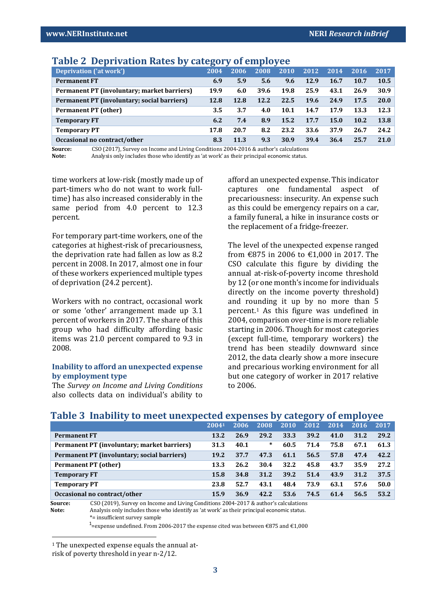| Deprivation ('at work')                     | 2004 | 2006 | 2008 | 2010 | 2012 | 2014 | 2016 | 2017        |
|---------------------------------------------|------|------|------|------|------|------|------|-------------|
| <b>Permanent FT</b>                         | 6.9  | 5.9  | 5.6  | 9.6  | 12.9 | 16.7 | 10.7 | 10.5        |
| Permanent PT (involuntary; market barriers) | 19.9 | 6.0  | 39.6 | 19.8 | 25.9 | 43.1 | 26.9 | 30.9        |
| Permanent PT (involuntary; social barriers) | 12.8 | 12.8 | 12.2 | 22.5 | 19.6 | 24.9 | 17.5 | <b>20.0</b> |
| <b>Permanent PT (other)</b>                 | 3.5  | 3.7  | 4.0  | 10.1 | 14.7 | 17.9 | 13.3 | 12.3        |
| <b>Temporary FT</b>                         | 6.2  | 7.4  | 8.9  | 15.2 | 17.7 | 15.0 | 10.2 | 13.8        |
| <b>Temporary PT</b>                         | 17.8 | 20.7 | 8.2  | 23.2 | 33.6 | 37.9 | 26.7 | 24.2        |
| Occasional no contract/other                | 8.3  | 11.3 | 9.3  | 30.9 | 39.4 | 36.4 | 25.7 | 21.0        |

#### **Table 2 Deprivation Rates by category of employee**

**Source:** CSO (2017), Survey on Income and Living Conditions 2004-2016 & author's calculations<br> **Note:** Analysis only includes those who identify as 'at work' as their principal economic status.

**Note:** Analysis only includes those who identify as 'at work' as their principal economic status.

time workers at low-risk (mostly made up of part-timers who do not want to work fulltime) has also increased considerably in the same period from 4.0 percent to 12.3 percent.

For temporary part-time workers, one of the categories at highest-risk of precariousness, the deprivation rate had fallen as low as 8.2 percent in 2008. In 2017, almost one in four of these workers experienced multiple types of deprivation (24.2 percent).

Workers with no contract, occasional work or some 'other' arrangement made up 3.1 percent of workers in 2017. The share of this group who had difficulty affording basic items was 21.0 percent compared to 9.3 in 2008.

#### **Inability to afford an unexpected expense by employment type**

The *Survey on Income and Living Conditions* also collects data on individual's ability to afford an unexpected expense. This indicator captures one fundamental aspect of precariousness: insecurity. An expense such as this could be emergency repairs on a car, a family funeral, a hike in insurance costs or the replacement of a fridge-freezer.

The level of the unexpected expense ranged from €875 in 2006 to €1,000 in 2017. The CSO calculate this figure by dividing the annual at-risk-of-poverty income threshold by 12 (or one month's income for individuals directly on the income poverty threshold) and rounding it up by no more than 5 percent.[1](#page-2-0) As this figure was undefined in 2004, comparison over-time is more reliable starting in 2006. Though for most categories (except full-time, temporary workers) the trend has been steadily downward since 2012, the data clearly show a more insecure and precarious working environment for all but one category of worker in 2017 relative to 2006.

|                                             | 20041 | 2006 | 2008 | 2010 | 2012 | 2014 | 2016 | 2017 |
|---------------------------------------------|-------|------|------|------|------|------|------|------|
| <b>Permanent FT</b>                         | 13.2  | 26.9 | 29.2 | 33.3 | 39.2 | 41.0 | 31.2 | 29.2 |
| Permanent PT (involuntary; market barriers) | 31.3  | 40.1 | ∗    | 60.5 | 71.4 | 75.8 | 67.1 | 61.3 |
| Permanent PT (involuntary; social barriers) | 19.2  | 37.7 | 47.3 | 61.1 | 56.5 | 57.8 | 47.4 | 42.2 |
| <b>Permanent PT (other)</b>                 | 13.3  | 26.2 | 30.4 | 32.2 | 45.8 | 43.7 | 35.9 | 27.2 |
| <b>Temporary FT</b>                         | 15.8  | 34.8 | 31.2 | 39.2 | 51.4 | 43.9 | 31.2 | 37.5 |
| <b>Temporary PT</b>                         | 23.8  | 52.7 | 43.1 | 48.4 | 73.9 | 63.1 | 57.6 | 50.0 |
| Occasional no contract/other                | 15.9  | 36.9 | 42.2 | 53.6 | 74.5 | 61.4 | 56.5 | 53.2 |

#### **Table 3 Inability to meet unexpected expenses by category of employee**

**Source:** CSO (2019), Survey on Income and Living Conditions 2004-2017 & author's calculations<br> **Note:** Analysis only includes those who identify as 'at work' as their principal economic status. **Note:** Analysis only includes those who identify as 'at work' as their principal economic status. \*= insufficient survey sample

<sup>1</sup>=expense undefined. From 2006-2017 the expense cited was between €875 and €1,000

 $\overline{a}$ 

<span id="page-2-0"></span><sup>1</sup> The unexpected expense equals the annual at-

risk of poverty threshold in year n-2/12.